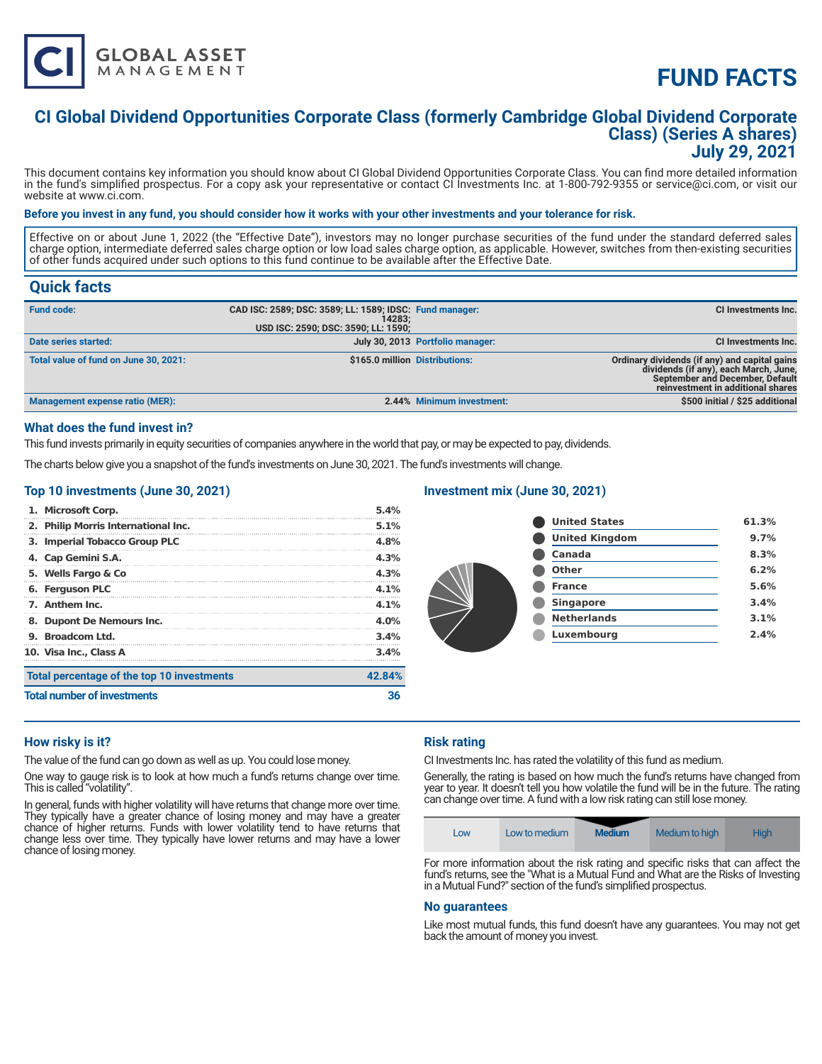

# **FUND FACTS**

### **CI Global Dividend Opportunities Corporate Class (formerly Cambridge Global Dividend Corporate Class) (Series A shares) July 29, 2021**

This document contains key information you should know about CI Global Dividend Opportunities Corporate Class. You can find more detailed information in the fund's simplified prospectus. For a copy ask your representative or contact CI Investments Inc. at 1-800-792-9355 or service@ci.com, or visit our website at www.ci.com.

#### **Before you invest in any fund, you should consider how it works with your other investments and your tolerance for risk.**

Effective on or about June 1, 2022 (the "Effective Date"), investors may no longer purchase securities of the fund under the standard deferred sales charge option, intermediate deferred sales charge option or low load sales charge option, as applicable. However, switches from then-existing securities of other funds acquired under such options to this fund continue to be available after the Effective Date.

### **Quick facts**

| <b>Fund code:</b>                      | CAD ISC: 2589; DSC: 3589; LL: 1589; IDSC: Fund manager:<br>14283:<br>USD ISC: 2590; DSC: 3590; LL: 1590; |                                  | CI Investments Inc.                                                                                                                                                   |
|----------------------------------------|----------------------------------------------------------------------------------------------------------|----------------------------------|-----------------------------------------------------------------------------------------------------------------------------------------------------------------------|
| Date series started:                   |                                                                                                          | July 30, 2013 Portfolio manager: | CI Investments Inc.                                                                                                                                                   |
| Total value of fund on June 30, 2021:  | \$165.0 million Distributions:                                                                           |                                  | Ordinary dividends (if any) and capital gains<br>dividends (if any), each March, June,<br><b>September and December, Default</b><br>reinvestment in additional shares |
| <b>Management expense ratio (MER):</b> |                                                                                                          | 2.44% Minimum investment:        | \$500 initial / \$25 additional                                                                                                                                       |

#### **What does the fund invest in?**

This fund invests primarily in equity securities of companies anywhere in the world that pay, or may be expected to pay, dividends.

The charts below give you a snapshot of the fund's investments on June 30, 2021. The fund's investments will change.

#### **Top 10 investments (June 30, 2021)**

| <b>Total number of investments</b>         | 36     |
|--------------------------------------------|--------|
| Total percentage of the top 10 investments | 42.84% |
| 10. Visa Inc., Class A                     | 3.4%   |
| 9. Broadcom Ltd.                           | 3.4%   |
| 8. Dupont De Nemours Inc.                  | 4.0%   |
| 7. Anthem Inc.                             | 4.1%   |
| 6. Ferguson PLC                            | 4.1%   |
| 5. Wells Fargo & Co                        | 4.3%   |
| 4. Cap Gemini S.A.                         | 4.3%   |
| 3. Imperial Tobacco Group PLC              | 4.8%   |
| 2. Philip Morris International Inc.        | 5.1%   |
| 1. Microsoft Corp.                         | 5.4%   |

#### **Investment mix (June 30, 2021)**

| 61.3% |
|-------|
| 9.7%  |
| 8.3%  |
| 6.2%  |
| 5.6%  |
| 3.4%  |
| 3.1%  |
| 2.4%  |
|       |

#### **How risky is it?**

The value of the fund can go down as well as up. You could lose money.

One way to gauge risk is to look at how much a fund's returns change over time. This is called "volatility".

In general, funds with higher volatility will have returns that change more over time. They typically have a greater chance of losing money and may have a greater chance of higher returns. Funds with lower volatility tend to have returns that change less over time. They typically have lower returns and may have a lower chance of losing money.

#### **Risk rating**

CI Investments Inc. has rated the volatility of this fund as medium.

Generally, the rating is based on how much the fund's returns have changed from year to year. It doesn't tell you how volatile the fund will be in the future. The rating can change over time. A fund with a low risk rating can still lose money.



For more information about the risk rating and specific risks that can affect the fund's returns, see the "What is a Mutual Fund and What are the Risks of Investing in a Mutual Fund?" section of the fund's simplified prospectus.

#### **No guarantees**

Like most mutual funds, this fund doesn't have any guarantees. You may not get back the amount of money you invest.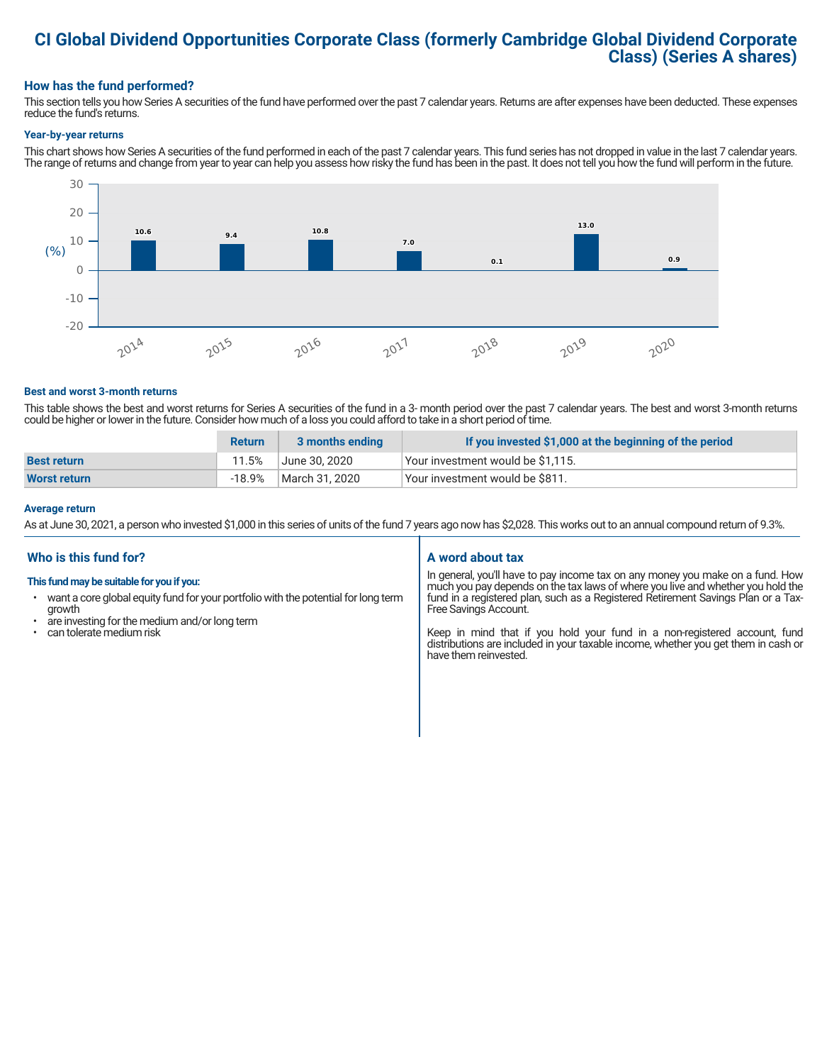# **CI Global Dividend Opportunities Corporate Class (formerly Cambridge Global Dividend Corporate Class) (Series A shares)**

#### **How has the fund performed?**

This section tells you how Series A securities of the fund have performed over the past 7 calendar years. Returns are after expenses have been deducted. These expenses reduce the fund's returns.

#### **Year-by-year returns**

This chart shows how Series A securities of the fund performed in each of the past 7 calendar years. This fund series has not dropped in value in the last 7 calendar years. The range of returns and change from year to year can help you assess how risky the fund has been in the past. It does not tell you how the fund will perform in the future.



#### **Best and worst 3-month returns**

This table shows the best and worst returns for Series A securities of the fund in a 3- month period over the past 7 calendar years. The best and worst 3-month returns could be higher or lower in the future. Consider how much of a loss you could afford to take in a short period of time.

|                     | <b>Return</b> | 3 months ending | If you invested \$1,000 at the beginning of the period |
|---------------------|---------------|-----------------|--------------------------------------------------------|
| <b>Best return</b>  | 11.5%         | June 30. 2020   | Your investment would be \$1,115.                      |
| <b>Worst return</b> | $-18.9%$      | March 31, 2020  | Vour investment would be \$811.                        |

#### **Average return**

As at June 30, 2021, a person who invested \$1,000 in this series of units of the fund 7 years ago now has \$2,028. This works out to an annual compound return of 9.3%.

#### **Who is this fund for?**

#### **This fund may be suitable for you if you:**

- want a core global equity fund for your portfolio with the potential for long term growth
- are investing for the medium and/or long term<br>• can tolerate medium risk
- can tolerate medium risk

#### **A word about tax**

In general, you'll have to pay income tax on any money you make on a fund. How much you pay depends on the tax laws of where you live and whether you hold the fund in a registered plan, such as a Registered Retirement Savings Plan or a Tax-Free Savings Account.

Keep in mind that if you hold your fund in a non-registered account, fund distributions are included in your taxable income, whether you get them in cash or have them reinvested.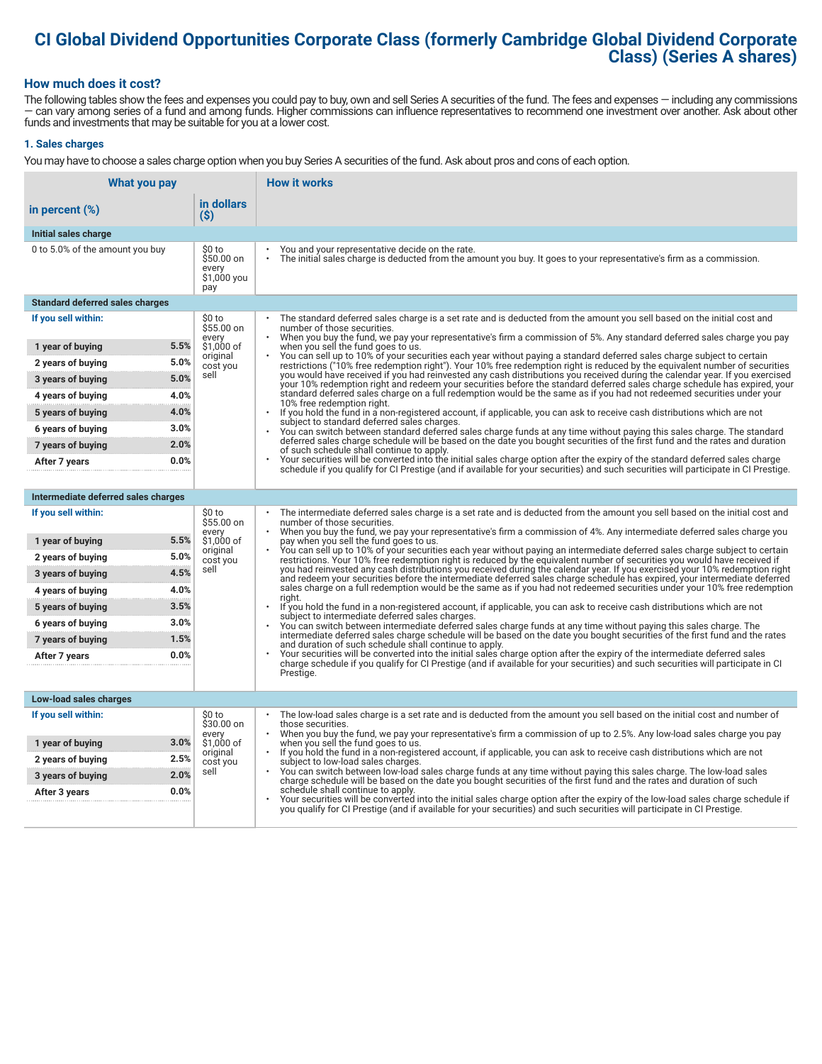# **CI Global Dividend Opportunities Corporate Class (formerly Cambridge Global Dividend Corporate Class) (Series A shares)**

#### **How much does it cost?**

The following tables show the fees and expenses you could pay to buy, own and sell Series A securities of the fund. The fees and expenses — including any commissions — can vary among series of a fund and among funds. Higher commissions can influence representatives to recommend one investment over another. Ask about other funds and investments that may be suitable for you at a lower cost.

#### **1. Sales charges**

You may have to choose a sales charge option when you buy Series A securities of the fund. Ask about pros and cons of each option.

| What you pay                           |                                                     | <b>How it works</b>                                                                                                                                                                                                                                                                   |
|----------------------------------------|-----------------------------------------------------|---------------------------------------------------------------------------------------------------------------------------------------------------------------------------------------------------------------------------------------------------------------------------------------|
| in percent (%)                         | in dollars<br>$($ \$)                               |                                                                                                                                                                                                                                                                                       |
| Initial sales charge                   |                                                     |                                                                                                                                                                                                                                                                                       |
| 0 to 5.0% of the amount you buy        | \$0 to<br>\$50.00 on<br>every<br>\$1,000 you<br>pay | You and your representative decide on the rate.<br>The initial sales charge is deducted from the amount you buy. It goes to your representative's firm as a commission.                                                                                                               |
| <b>Standard deferred sales charges</b> |                                                     |                                                                                                                                                                                                                                                                                       |
| If you sell within:                    | \$0 to<br>\$55.00 on                                | The standard deferred sales charge is a set rate and is deducted from the amount you sell based on the initial cost and<br>number of those securities.                                                                                                                                |
| 1 year of buying                       | every<br>5.5%<br>\$1,000 of                         | When you buy the fund, we pay your representative's firm a commission of 5%. Any standard deferred sales charge you pay<br>when you sell the fund goes to us.                                                                                                                         |
| 2 years of buying                      | original<br>5.0%<br>cost you                        | You can sell up to 10% of your securities each year without paying a standard deferred sales charge subject to certain<br>restrictions ("10% free redemption right"). Your 10% free redemption right is reduced by the equivalent number of securities                                |
| 3 years of buying                      | sell<br>5.0%                                        | you would have received if you had reinvested any cash distributions you received during the calendar year. If you exercised<br>your 10% redemption right and redeem your securities before the standard deferred sales charge schedule has expired, your                             |
| 4 years of buying                      | 4.0%                                                | standard deferred sales charge on a full redemption would be the same as if you had not redeemed securities under your<br>10% free redemption right.                                                                                                                                  |
| 5 years of buying                      | 4.0%                                                | $\ddot{\phantom{0}}$<br>If you hold the fund in a non-registered account, if applicable, you can ask to receive cash distributions which are not                                                                                                                                      |
| 6 years of buying                      | 3.0%                                                | subject to standard deferred sales charges.<br>You can switch between standard deferred sales charge funds at any time without paying this sales charge. The standard                                                                                                                 |
| 7 years of buying                      | 2.0%                                                | deferred sales charge schedule will be based on the date you bought securities of the first fund and the rates and duration<br>of such schedule shall continue to apply.                                                                                                              |
| After 7 years                          | 0.0%                                                | Your securities will be converted into the initial sales charge option after the expiry of the standard deferred sales charge<br>schedule if you qualify for CI Prestige (and if available for your securities) and such securities will participate in CI Prestige.                  |
|                                        |                                                     |                                                                                                                                                                                                                                                                                       |
| Intermediate deferred sales charges    |                                                     |                                                                                                                                                                                                                                                                                       |
| If you sell within:                    | \$0 to<br>\$55.00 on<br>every                       | The intermediate deferred sales charge is a set rate and is deducted from the amount you sell based on the initial cost and<br>number of those securities.<br>When you buy the fund, we pay your representative's firm a commission of 4%. Any intermediate deferred sales charge you |
| 1 year of buying                       | 5.5%<br>\$1,000 of                                  | pay when you sell the fund goes to us.<br>You can sell up to 10% of your securities each year without paying an intermediate deferred sales charge subject to certain                                                                                                                 |
| 2 years of buying                      | original<br>5.0%<br>cost you                        | restrictions. Your 10% free redemption right is reduced by the equivalent number of securities you would have received if                                                                                                                                                             |
| 3 years of buying                      | sell<br>4.5%                                        | you had reinvested any cash distributions you received during the calendar year. If you exercised your 10% redemption right<br>and redeem your securities before the intermediate deferred sales charge schedule has expired, your intermediate deferred                              |
| 4 years of buying                      | 4.0%                                                | sales charge on a full redemption would be the same as if you had not redeemed securities under your 10% free redemption<br>riaht.                                                                                                                                                    |
| 5 years of buying                      | 3.5%                                                | If you hold the fund in a non-registered account, if applicable, you can ask to receive cash distributions which are not<br>subject to intermediate deferred sales charges.                                                                                                           |
| 6 years of buying                      | 3.0%                                                | You can switch between intermediate deferred sales charge funds at any time without paying this sales charge. The<br>intermediate deferred sales charge schedule will be based on the date you bought securities of the first fund and the rates                                      |
| 7 years of buying                      | 1.5%                                                | and duration of such schedule shall continue to apply.                                                                                                                                                                                                                                |
| After 7 years                          | 0.0%                                                | Your securities will be converted into the initial sales charge option after the expiry of the intermediate deferred sales<br>charge schedule if you qualify for CI Prestige (and if available for your securities) and such securities will participate in CI                        |
|                                        |                                                     | Prestige.                                                                                                                                                                                                                                                                             |
| Low-load sales charges                 |                                                     |                                                                                                                                                                                                                                                                                       |
| If you sell within:                    | \$0 to<br>\$30.00 on                                | The low-load sales charge is a set rate and is deducted from the amount you sell based on the initial cost and number of<br>those securities.                                                                                                                                         |
| 1 year of buying                       | every<br>3.0%<br>\$1,000 of                         | When you buy the fund, we pay your representative's firm a commission of up to 2.5%. Any low-load sales charge you pay<br>when you sell the fund goes to us.                                                                                                                          |
| 2 years of buying                      | original<br>2.5%<br>cost you                        | If you hold the fund in a non-registered account, if applicable, you can ask to receive cash distributions which are not<br>subject to low-load sales charges.                                                                                                                        |
| 3 years of buying                      | sell<br>2.0%                                        | You can switch between low-load sales charge funds at any time without paying this sales charge. The low-load sales<br>charge schedule will be based on the date you bought securities of the first fund and the rates and duration of such                                           |
| After 3 years                          | 0.0%                                                | schedule shall continue to apply.<br>Your securities will be converted into the initial sales charge option after the expiry of the low-load sales charge schedule if                                                                                                                 |
|                                        |                                                     | you qualify for CI Prestige (and if available for your securities) and such securities will participate in CI Prestige.                                                                                                                                                               |